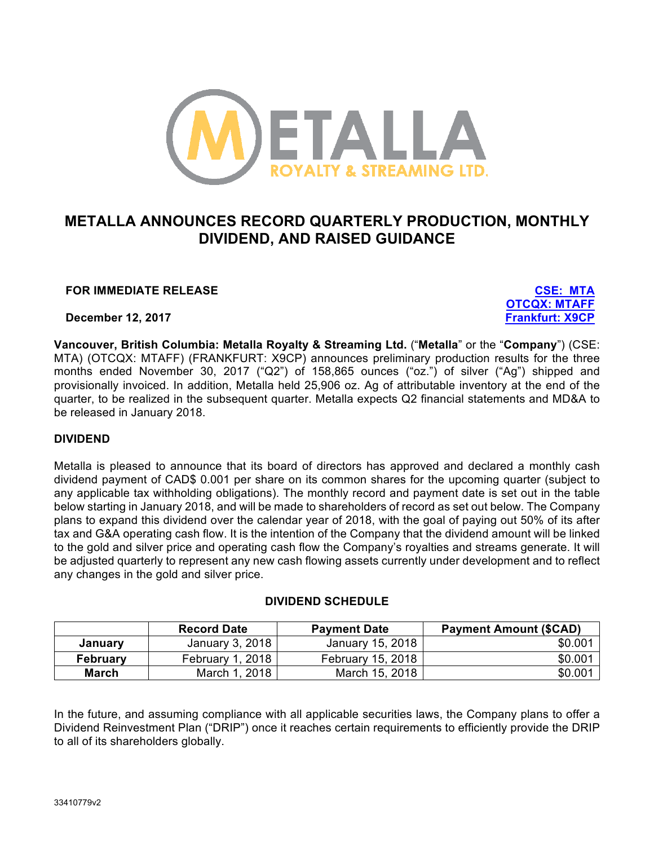

# **METALLA ANNOUNCES RECORD QUARTERLY PRODUCTION, MONTHLY DIVIDEND, AND RAISED GUIDANCE**

## **FOR IMMEDIATE RELEASE CSE: MTA**

**December 12, 2017 Frankfurt: X9CP**

**OTCQX: MTAFF**

**Vancouver, British Columbia: Metalla Royalty & Streaming Ltd.** ("**Metalla**" or the "**Company**") (CSE: MTA) (OTCQX: MTAFF) (FRANKFURT: X9CP) announces preliminary production results for the three months ended November 30, 2017 ("Q2") of 158,865 ounces ("oz.") of silver ("Ag") shipped and provisionally invoiced. In addition, Metalla held 25,906 oz. Ag of attributable inventory at the end of the quarter, to be realized in the subsequent quarter. Metalla expects Q2 financial statements and MD&A to be released in January 2018.

### **DIVIDEND**

Metalla is pleased to announce that its board of directors has approved and declared a monthly cash dividend payment of CAD\$ 0.001 per share on its common shares for the upcoming quarter (subject to any applicable tax withholding obligations). The monthly record and payment date is set out in the table below starting in January 2018, and will be made to shareholders of record as set out below. The Company plans to expand this dividend over the calendar year of 2018, with the goal of paying out 50% of its after tax and G&A operating cash flow. It is the intention of the Company that the dividend amount will be linked to the gold and silver price and operating cash flow the Company's royalties and streams generate. It will be adjusted quarterly to represent any new cash flowing assets currently under development and to reflect any changes in the gold and silver price.

## **DIVIDEND SCHEDULE**

|                 | <b>Record Date</b> | <b>Payment Date</b> | <b>Payment Amount (\$CAD)</b> |
|-----------------|--------------------|---------------------|-------------------------------|
| January         | January 3, 2018    | January 15, 2018    | \$0.001                       |
| <b>February</b> | February 1, 2018   | February 15, 2018   | \$0.001                       |
| March           | March 1, 2018      | March 15, 2018      | \$0.001                       |

In the future, and assuming compliance with all applicable securities laws, the Company plans to offer a Dividend Reinvestment Plan ("DRIP") once it reaches certain requirements to efficiently provide the DRIP to all of its shareholders globally.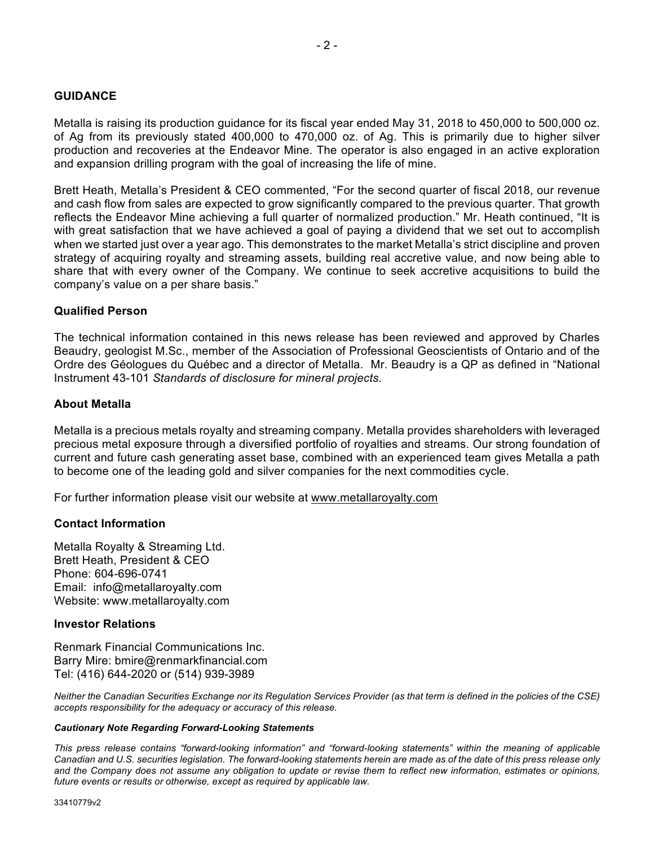#### **GUIDANCE**

Metalla is raising its production guidance for its fiscal year ended May 31, 2018 to 450,000 to 500,000 oz. of Ag from its previously stated 400,000 to 470,000 oz. of Ag. This is primarily due to higher silver production and recoveries at the Endeavor Mine. The operator is also engaged in an active exploration and expansion drilling program with the goal of increasing the life of mine.

Brett Heath, Metalla's President & CEO commented, "For the second quarter of fiscal 2018, our revenue and cash flow from sales are expected to grow significantly compared to the previous quarter. That growth reflects the Endeavor Mine achieving a full quarter of normalized production." Mr. Heath continued, "It is with great satisfaction that we have achieved a goal of paying a dividend that we set out to accomplish when we started just over a year ago. This demonstrates to the market Metalla's strict discipline and proven strategy of acquiring royalty and streaming assets, building real accretive value, and now being able to share that with every owner of the Company. We continue to seek accretive acquisitions to build the company's value on a per share basis."

#### **Qualified Person**

The technical information contained in this news release has been reviewed and approved by Charles Beaudry, geologist M.Sc., member of the Association of Professional Geoscientists of Ontario and of the Ordre des Géologues du Québec and a director of Metalla. Mr. Beaudry is a QP as defined in "National Instrument 43-101 *Standards of disclosure for mineral projects*.

#### **About Metalla**

Metalla is a precious metals royalty and streaming company. Metalla provides shareholders with leveraged precious metal exposure through a diversified portfolio of royalties and streams. Our strong foundation of current and future cash generating asset base, combined with an experienced team gives Metalla a path to become one of the leading gold and silver companies for the next commodities cycle.

For further information please visit our website at www.metallaroyalty.com

#### **Contact Information**

Metalla Royalty & Streaming Ltd. Brett Heath, President & CEO Phone: 604-696-0741 Email: info@metallaroyalty.com Website: www.metallaroyalty.com

#### **Investor Relations**

Renmark Financial Communications Inc. Barry Mire: bmire@renmarkfinancial.com Tel: (416) 644-2020 or (514) 939-3989

*Neither the Canadian Securities Exchange nor its Regulation Services Provider (as that term is defined in the policies of the CSE) accepts responsibility for the adequacy or accuracy of this release.*

#### *Cautionary Note Regarding Forward-Looking Statements*

*This press release contains "forward-looking information" and "forward-looking statements" within the meaning of applicable Canadian and U.S. securities legislation. The forward-looking statements herein are made as of the date of this press release only and the Company does not assume any obligation to update or revise them to reflect new information, estimates or opinions, future events or results or otherwise, except as required by applicable law.*